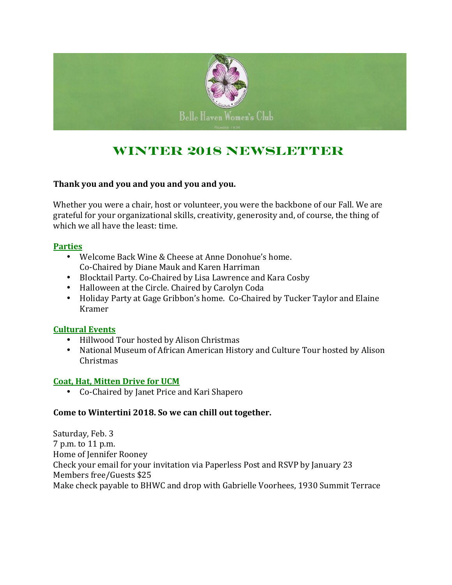

# **Winter 2018 Newsletter**

### **Thank you and you and you and you and you.**

Whether you were a chair, host or volunteer, you were the backbone of our Fall. We are grateful for your organizational skills, creativity, generosity and, of course, the thing of which we all have the least: time.

### **Parties**

- Welcome Back Wine & Cheese at Anne Donohue's home. Co-Chaired by Diane Mauk and Karen Harriman
- Blocktail Party. Co-Chaired by Lisa Lawrence and Kara Cosby
- Halloween at the Circle. Chaired by Carolyn Coda
- Holiday Party at Gage Gribbon's home. Co-Chaired by Tucker Taylor and Elaine Kramer

### **Cultural Events**

- Hillwood Tour hosted by Alison Christmas
- National Museum of African American History and Culture Tour hosted by Alison Christmas

### **Coat, Hat, Mitten Drive for UCM**

• Co-Chaired by Janet Price and Kari Shapero

### **Come to Wintertini 2018. So we can chill out together.**

Saturday, Feb. 3 7 p.m. to 11 p.m. Home of Jennifer Rooney Check your email for your invitation via Paperless Post and RSVP by January 23 Members free/Guests \$25 Make check payable to BHWC and drop with Gabrielle Voorhees, 1930 Summit Terrace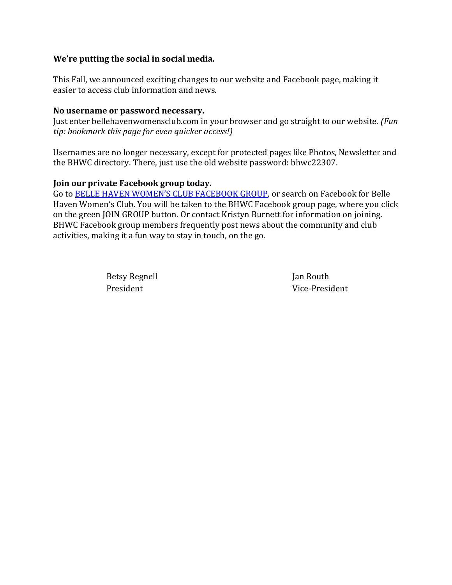### **We're putting the social in social media.**

This Fall, we announced exciting changes to our website and Facebook page, making it easier to access club information and news.

### **No username or password necessary.**

Just enter bellehavenwomensclub.com in your browser and go straight to our website. *(Fun tip: bookmark this page for even quicker access!)*

Usernames are no longer necessary, except for protected pages like Photos, Newsletter and the BHWC directory. There, just use the old website password: bhwc22307.

### **Join our private Facebook group today.**

Go to BELLE HAVEN WOMEN'S CLUB FACEBOOK GROUP, or search on Facebook for Belle Haven Women's Club. You will be taken to the BHWC Facebook group page, where you click on the green JOIN GROUP button. Or contact Kristyn Burnett for information on joining. BHWC Facebook group members frequently post news about the community and club activities, making it a fun way to stay in touch, on the go.

Betsy Regnell **International Communist Communist Communist Communist Communist Communist Communist Communist Communist Communist Communist Communist Communist Communist Communist Communist Communist Communist Communist Com** 

President Vice-President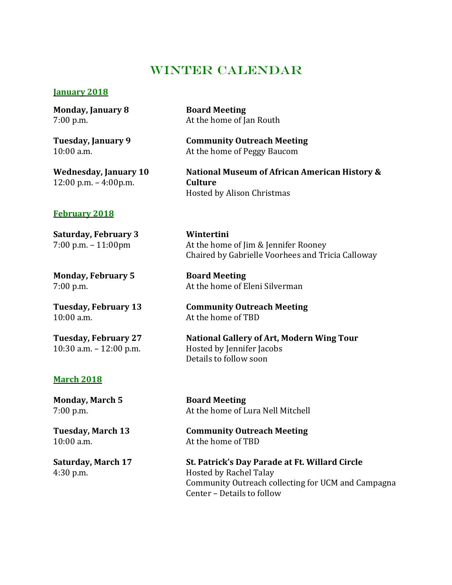### WINTER CALENDAR

#### **January 2018**

**Monday, January 8 Board Meeting**

12:00 p.m. – 4:00p.m. **Culture**

7:00 p.m. At the home of Jan Routh

**Tuesday, January 9 Community Outreach Meeting** 10:00 a.m. At the home of Peggy Baucom

**Wednesday, January 10 National Museum of African American History &** Hosted by Alison Christmas

#### **February 2018**

**Saturday, February 3 Wintertini**

**Monday, February 5 Board Meeting**

10:00 a.m. At the home of TBD

### **March 2018**

**Monday, March 5 Board Meeting**

7:00 p.m. – 11:00pm At the home of Jim & Jennifer Rooney Chaired by Gabrielle Voorhees and Tricia Calloway

7:00 p.m. At the home of Eleni Silverman

**Tuesday, February 13 Community Outreach Meeting**

**Tuesday, February 27 National Gallery of Art, Modern Wing Tour** 10:30 a.m. – 12:00 p.m. Hosted by Jennifer Jacobs Details to follow soon

7:00 p.m. At the home of Lura Nell Mitchell

**Tuesday, March 13 Community Outreach Meeting** 10:00 a.m. At the home of TBD

**Saturday, March 17 St. Patrick's Day Parade at Ft. Willard Circle** 4:30 p.m. Hosted by Rachel Talay Community Outreach collecting for UCM and Campagna Center – Details to follow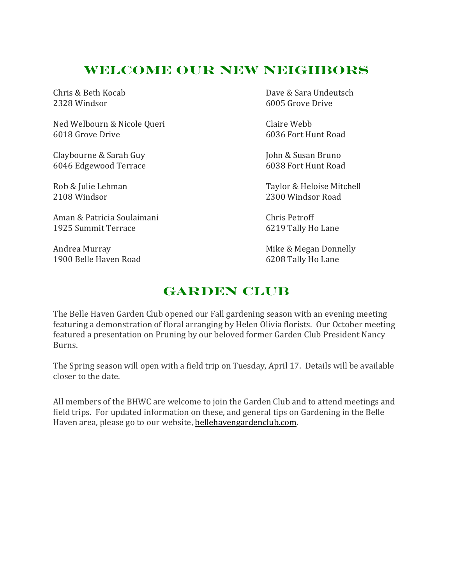# **Welcome Our New Neighbors**

Ned Welbourn & Nicole Queri Claire Webb 6018 Grove Drive 6036 Fort Hunt Road

Claybourne & Sarah Guy  $\qquad \qquad$  John & Susan Bruno 6046 Edgewood Terrace 6038 Fort Hunt Road

Aman & Patricia Soulaimani and Chris Petroff 1925 Summit Terrace 6219 Tally Ho Lane

1900 Belle Haven Road 6208 Tally Ho Lane

Chris & Beth Kocab Dave & Sara Undeutsch 2328 Windsor 6005 Grove Drive

Rob & Julie Lehman Taylor & Heloise Mitchell 2108 Windsor 2300 Windsor Road

Andrea Murray **Mike & Megan Donnelly** Mike & Megan Donnelly

# **Garden Club**

The Belle Haven Garden Club opened our Fall gardening season with an evening meeting featuring a demonstration of floral arranging by Helen Olivia florists. Our October meeting featured a presentation on Pruning by our beloved former Garden Club President Nancy Burns. 

The Spring season will open with a field trip on Tuesday, April 17. Details will be available closer to the date.

All members of the BHWC are welcome to join the Garden Club and to attend meetings and field trips. For updated information on these, and general tips on Gardening in the Belle Haven area, please go to our website, bellehavengardenclub.com.